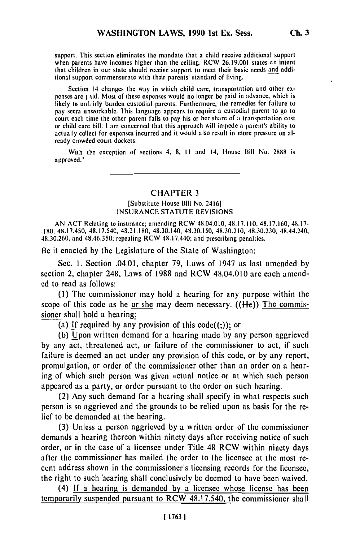support. This section eliminates the mandate that a child receive additional support when parents have incomes higher than the ceiling. RCW 26.19.001 states an intent that children in our state should receive support to meet their basic needs and additional support commensurate with their parents' standard of living.

Section 14 changes the way in which child care, transportation and other expenses are I iid. Most of these expenses would no longer be paid in advance, which is likely to unh'irly burden custodial parents. Furthermore, the remedies for failure to pay seem unworkable. This language appears to require a custodial parent to go to court each time the other parent fails to pay his or her share of a transportation cost or child care bill. I am concerned that this approach will impede a parent's ability to actually collect for expenses incurred and it would also result in more pressure on already crowded court dockets.

With the exception of sections 4, 8, 11 and 14, House Bill No. 2888 is approved."

# CHAPTER **3**

### [Substitute House Bill No. 24161 INSURANCE STATUTE REVISIONS

AN ACT Relating to insurance; amending RCW 48.04.010, 48.17.110, 48.17.160, 48.17- .180, 48.17.450, 48.17.540, 48.21.180, 48.30.140, 48.30.150, 48.30.210, 48.30.230, 48.44.240, 48.30.260, and 48.46.350; repealing RCW 48.17.440; and prescribing penalties.

Be it enacted by the Legislature of the State of Washington:

Sec. 1. Section .04.01, chapter 79, Laws of 1947 as last amended by section 2, chapter 248, Laws of 1988 and RCW 48.04.010 are each amended to read as follows:

(1) The commissioner may hold a hearing for any purpose within the scope of this code as he or she may deem necessary. ((He)) The commissioner shall hold a hearing:

(a) If required by any provision of this  $\text{code}((.)$ ; or

(b) Upon written demand for a hearing made by any person aggrieved by any act, threatened act, or failure of the commissioner to act, if such failure is deemed an act under any provision of this code, or by any report, promulgation, or order of the commissioner other than an order on a hearing of which such person was given actual notice or at which such person appeared as a party, or order pursuant to the order on such hearing.

(2) Any such demand for a hearing shall specify in what respects such person is so aggrieved and the grounds to be relied upon as basis for the relief to be demanded at the hearing.

(3) Unless a person aggrieved by a written order of the commissioner demands a hearing thereon within ninety days after receiving notice of such order, or in the case of a licensee under Title 48 RCW within ninety days after the commissioner has mailed the order to the licensee at the most recent address shown in the commissioner's licensing records for the licensee, the right to such hearing shall conclusively be deemed to have been waived.

(4) If a hearing is demanded by a licensee whose license has been temporarily suspended pursuant to RCW 48.17.540, the commissioner shall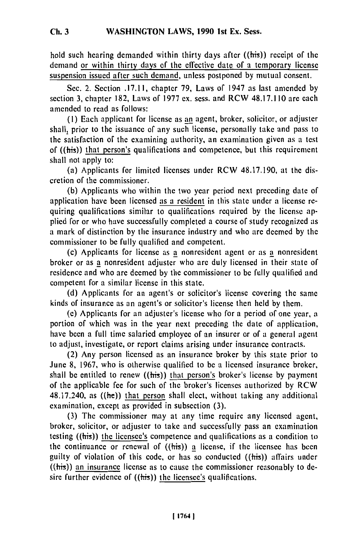hold such hearing demanded within thirty days after ((his)) receipt of the demand or within thirty days of the effective date of a temporary license suspension **issued** after such demand, unless postponed **by** mutual consent.

Sec. 2. Section **.17.11,** chapter **79,** Laws of 1947 as last amended **by** section **3,** chapter **182,** Laws of **1977** ex. sess. and RCW **48.17.110** are each amended to read as follows:

**(1)** Each applicant for license as an agent, broker, solicitor, or adjuster shall, prior to the issuance of any such license, personally take and pass to the satisfaction of the examining authority, an examination given as a test of  $((\overline{his}))$  that person's qualifications and competence, but this requirement shall not apply to:

(a) Applicants for limited licenses under RCW **48.17.190,** at **the** discretion of the commissioner.

**(b)** Applicants who within the two year period next preceding date of application have been licensed as a resident in this state under a license requiring qualifications similar to qualifications required **by** the license applied for or who have successfully completed a course of study recognized as a mark of distinction **by** the insurance industry and who **are** deemed **by** the commissioner to **be** fully qualified and competent.

(c) Applicants for license as a nonresident agent or as a nonresident broker or as a nonresident adjuster who **are** duly licensed in their state of residence and who are deemed **by** the commissioner to **be** fully qualified and competent for a similar license in this state.

**(d)** Applicants for an agent's or solicitor's license covering the same kinds of insurance as an agent's or solicitor's license then **held** by them.

**(e)** Applicants for an adjuster's license who for a period of one year, a portion of which was in the year next preceding the date of application, have been a full time salaried employee of an insurer or of a general agent to adjust, investigate, or report claims arising under insurance contracts.

(2) Any person licensed as an insurance broker **by** this state prior to June **8, 1967,** who is otherwise qualified to **be** a licensed insurance broker, shall **be** entitled to renew ((his)) that person's broker's license **by** payment of the applicable fee for such of the broker's licenses authorized **by** RCW 48.17.240, as  $((he))$  that person shall elect, without taking any additional examination, except as provided in subsection **(3).**

**(3)** The commissioner may at any time require any licensed agent, broker, solicitor, or adjuster to take and successfully pass an examination testing  $((\overline{\text{his}}))$  the licensee's competence and qualifications as a condition to the continuance or renewal of  $((\overline{\text{his}}))$  a license, if the licensee has been guilty of violation of this code, or has so conducted  $((\overline{\text{his}}))$  affairs under ((his)) an insurance license as to cause the commissioner reasonably to **de**sire further evidence of ((his)) the licensee's qualifications.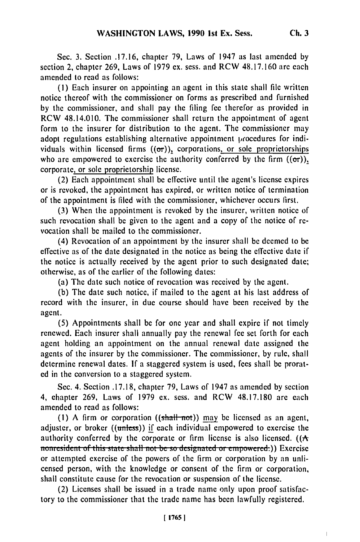Sec. 3. Section .17.16, chapter **79,** Laws of 1947 as last amended by section 2, chapter 269, Laws of 1979 ex. sess. and RCW 48.17.160 are each amended to read as follows:

(1) Each insurer on appointing an agent in this state shall file written notice thereof with the commissioner on forms as prescribed and furnished by the commissioner, and shall pay the filing fee therefor as provided in RCW 48.14.010. The commissioner shall return the appointment of agent form to the insurer for distribution to the agent. The commissioner may adopt regulations establishing alternative appointment procedures for individuals within licensed firms  $((\sigma r))$ , corporations, or sole proprietorships who are empowered to exercise the authority conferred by the firm  $((\sigma r))$ , corporate, or sole proprietorship license.

(2) Each appointment shall be effective until the agent's license expires or is revoked, the appointment has expired, or written notice of termination of the appointment is filed with the commissioner, whichever occurs first.

(3) When the appointment is revoked by the insurer, written notice of such revocation shall be given to the agent and a copy of the notice of revocation shall be mailed to the commissioner.

(4) Revocation of an appointment by the insurer shall be deemed to be effective as of the date designated in the notice as being the effective date if the notice is actually received by the agent prior to such designated date; otherwise, as of the earlier of the following dates:

(a) The date such notice of revocation was received by the agent.

(b) The date such notice, if mailed to the agent at his last address of record with the insurer, in due course should have been received by the agent.

(5) Appointments shall be for one year and shall expire if not timely renewed. Each insurer shall annually pay the renewal fee set forth for each agent holding an appointment on the annual renewal date assigned the agents of the insurer by the commissioner. The commissioner, by rule, shall determine renewal dates. If a staggered system is used, fees shall be prorated in the conversion to a staggered system.

Sec. 4. Section .17.18, chapter 79, Laws of 1947 as amended by section 4, chapter 269, Laws of 1979 ex. sess. and RCW 48.17.180 are each amended to read as follows:

(1) A firm or corporation  $((\text{shall-not}))$  may be licensed as an agent, adjuster, or broker ((unless)) if each individual empowered to exercise the authority conferred by the corporate or firm license is also licensed.  $((A)$ **1111** nonresident of this state shall not be so designated or empowered.) Exercise or attempted exercise of the powers of the firm or corporation **by** an unlicensed person, with the knowledge or consent of the firm or corporation, shall constitute cause for the revocation or suspension of the license.

(2) Licenses shall be issued in a trade name only upon proof satisfactory to the commissioner that the trade name has been lawfully registered.

 $\overline{1}$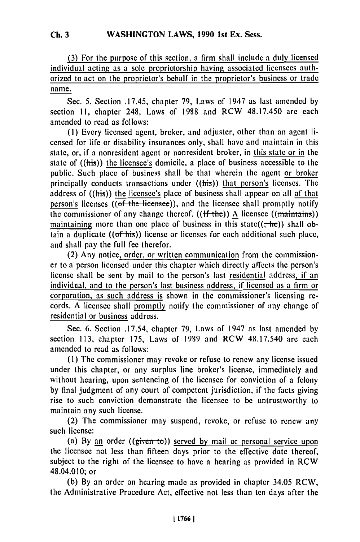#### **WASHINGTON LAWS, 1990 1st Ex. Sess. Ch. 3**

**(3)** For the purpose of this section, a firm shall include a duly licensed individual acting as a sole proprietorship having associated licensees authorized to act on the proprietor's behalf in the proprietor's business or trade name.

Sec. 5. Section .17.45, chapter **79,** Laws of 1947 as last amended by section 11, chapter 248, Laws of 1988 and RCW 48.17.450 are each amended to read as follows:

(I) Every licensed agent, broker, and adjuster, other than an agent licensed for life or disability insurances only, shall have and maintain in this state, or, if a nonresident agent or nonresident broker, in this state or in the state of ((his)) the licensee's domicile, a place of business accessible to the public. Such place of business shall be that wherein the agent or broker principally conducts transactions under  $((\overline{\text{his}}))$  that person's licenses. The address of ((his)) the licensee's place of business shall appear on all of that person's licenses ((of the licensee)), and the licensee shall promptly notify the commissioner of any change thereof.  $((\text{If the}))$  A licensee  $((\text{maintains}))$ maintaining more than one place of business in this state( $(\frac{1}{1}he)$ ) shall obtain a duplicate  $((of$  his)) license or licenses for each additional such place, and shall pay the full fee therefor.

(2) Any notice, order, or written communication from the commissioner to a person licensed under this chapter which directly affects the person's license shall be sent by mail to the person's last residential address, if an individual, and to the person's last business address, if licensed as a firm or corporation, as such address is shown in the commissioner's licensing records. A licensee shall promptly notify the commissioner of any change of residential or business address.

Sec. 6. Section .17.54, chapter 79, Laws of 1947 as last amended by section 113, chapter 175, Laws of 1989 and RCW 48.17.540 are each amended to read as follows:

**(1)** The commissioner may revoke or refuse to renew any license issued under this chapter, or any surplus line broker's license, immediately and without hearing, upon sentencing of the licensee for conviction of a felony by final judgment of any court of competent jurisdiction, if the facts giving rise to such conviction demonstrate the licensee to be untrustworthy to maintain any such license.

(2) The commissioner may suspend, revoke, or refuse to renew any such license:

(a) By an order ((given **ta))** served **by** mail or personal service upon the licensee not less than fifteen days prior to the effective date thereof, subject to the right of the licensee to have a hearing as provided in RCW 48.04.010; or

(b) By an order on hearing made as provided in chapter 34.05 RCW, the Administrative Procedure Act, effective not less than ten days after the

 $\overline{\phantom{a}}$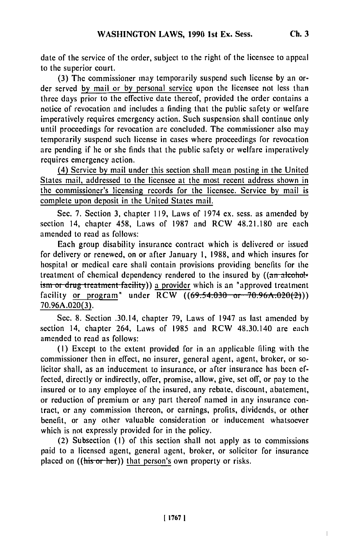**Ch. 3**

 $\mathsf{L}$ 

**date of the** service of the order, subject to the right of the licensee to appeal to the superior court.

**(3)** The commissioner may temporarily suspend such license **by** an order served **by** mail or **by** personal service upon the licensee not less than three days prior to the effective date thereof, provided the order contains a notice of revocation and includes a finding that the public safety or welfare imperatively requires emergency action. Such suspension shall continue only until proceedings for revocation are concluded. The commissioner also may temporarily suspend such license in cases where proceedings for revocation are pending if he or she finds that the public safety or welfare imperatively requires emergency action.

(4) Service by mail under this section shall mean posting in the United States mail, addressed to the licensee at the most recent address shown in the commissioner's licensing records for the licensee. Service **by** mail is complete upon deposit in the United States mail.

Sec. **7.** Section **3,** chapter **119,** Laws of 1974 **ex.** sess. as amended **by** section 14, chapter 458, Laws of **1987** and RCW **48.21.180** are each amended to read as follows:

Each group disability insurance contract which is delivered or issued for delivery or renewed, on or after January **1, 1988,** and which insures for hospital or medical care shall contain provisions providing benefits for **the** treatment of chemical dependency rendered to the insured by ((an alcoholism or drug treatment facility)) a provider which is an "approved treatment facility or program" under  $RCW$   $((69.54.030 \text{ or } 70.96A.020(2)))$ **70.96A.020(3).**

Sec. **8.** Section .30.14, chapter **79,** Laws of 1947 as last amended **by** section 14, chapter 264, Laws of **1985** and RCW 48.30.140 are each amended to read as follows:

**(I)** Except to the extent provided for in an applicable filing with the commissioner then in effect, no insurer, general agent, agent, broker, or solicitor shall, as an inducement to insurance, or after insurance has been **ef**fected, directly or indirectly, offer, promise, allow, give, set off, or pay to the insured or to any employee of the insured, any rebate, discount, abatement, or reduction of premium or any part thereof named in any insurance contract, or any commission thereon, or earnings, profits, dividends, or other benefit, or any other valuable consideration or inducement whatsoever which is not expressly provided for in the policy.

(2) Subsection **(I)** of this section shall not apply as to commissions paid to a licensed agent, general agent, broker, or solicitor for insurance placed on ((his or her)) that person's own property or risks.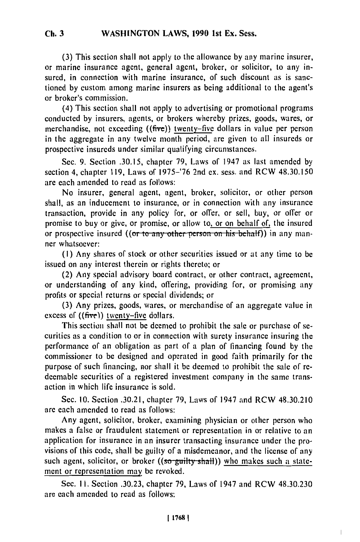(3) This section shall not apply to the allowance by any marine insurer, or marine insurance agent, general agent, broker, or solicitor, to any insured, in connection with marine insurance, of such discount as is sanctioned by custom among marine insurers as being additional to the agent's or broker's commission.

(4) This section shall not apply to advertising or promotional programs conducted by insurers, agents, or brokers whereby prizes, goods, wares, or merchandise, not exceeding ((five)) twenty-five dollars in value per person in the aggregate in any twelve month period, are given to all insureds or prospective insureds under similar qualifying circumstances.

Sec. 9. Section .30.15, chapter 79, Laws of 1947 as last amended by section 4, chapter 119, Laws of 1975-'76 2nd ex. sess. and RCW 48.30.150 are each amended to read as follows:

No insurer, general agent, agent, broker, solicitor, or other person shall, as an inducement to insurance, or in connection with any insurance transaction, provide in any policy for, or offer, or sell, buy, or offer or promise to buy or give, or promise, or allow to, or on behalf of, the insured or prospective insured ((or to any other person on his behalf)) in any manner whatsoever:

**(I)** Any shares of stock or other securities issued or at any time to **be** issued on any interest therein or rights thereto; or

(2) Any special advisory board contract, or other contract, agreement, or understanding of any kind, offering, providing for, or promising any profits or special returns or special dividends; or

**(3)** Any prizes, goods, wares, or merchandise of an aggregate value in excess of  $((\text{five})$  twenty-five dollars.

This section shall not **be** deemed to prohibit the sale or purchase of securities as a condition to or in connection with surety insurance insuring the performance of an obligation as part of a plan of financing found by the commissioner to be designed and operated in good faith primarily for the purpose of such financing, nor shall it be deemed to prohibit the sale of redeemable securities of a registered investment company in the same transaction in which life insurance is sold.

Sec. 10. Section .30.21, chapter 79, Laws of 1947 and RCW 48.30.210 are each amended to read as follows:

Any agent, solicitor, broker, examining physician or other person who makes a false or fraudulent statement or representation in or relative to an application for insurance in an insurer transacting insurance under the provisions of this code, shall be guilty of a misdemeanor, and the license of any such agent, solicitor, or broker ( $(\overline{\text{so}-\text{guilty} - \text{shall}})$ ) who makes such a statement or representation may be revoked.

Sec. **1I.** Section **.30.23,** chapter **79,** Laws of 1947 and RCW **48.30.230** are each amended to read as follows: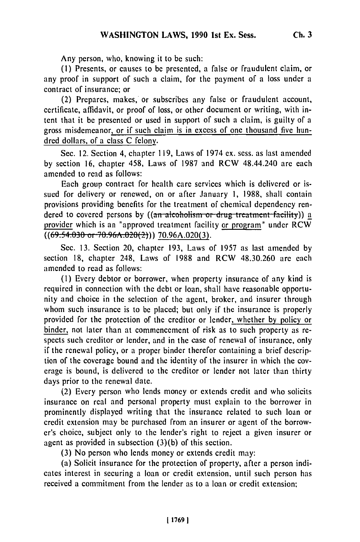Any person, who, knowing it to be such:

**(1)** Presents, or causes to be presented, a false or fraudulent claim, or any proof in support of such a claim, for the payment of a loss under a contract of insurance; or

(2) Prepares, makes, or subscribes any false or fraudulent account, certificate, affidavit, or proof of loss, or other document or writing, with intent that it be presented or used in support of such a claim, is guilty of a gross misdemeanor, or if such claim is in excess of one thousand five hundred dollars, of a class C felony.

Sec. 12. Section 4, chapter 119, Laws of 1974 ex. sess. as last amended by section 16, chapter 458, Laws of 1987 and RCW 48.44.240 are each amended to read as follows:

Each group contract for health care services which is delivered or issued for delivery or renewed, on or after January 1, 1988, shall contain provisions providing benefits for the treatment of chemical dependency rendered to covered persons by ((an alcoholism or drug treatment facility)) a provider which is an "approved treatment facility or program" under  $RCW$  $((69.54.030 \text{ or } 70.96A.020(2)))$  70.96A.020(3).

Sec. 13. Section 20, chapter 193, Laws of 1957 as last amended by section 18, chapter 248, Laws of 1988 and RCW 48.30.260 are each amended to read as follows:

(1) Every debtor or borrower, when property insurance of any kind is required in connection with the debt or loan, shall have reasonable opportunity and choice in the selection of the agent, broker, and insurer through whom such insurance is to be placed; but only if the insurance is properly provided for the protection of the creditor or lender, whether by policy or binder, not later than at commencement of risk as to such property as respects such creditor or lender, and in the case of renewal of insurance, only if the renewal policy, or a proper binder therefor containing a brief description of the coverage bound and the identity of the insurer in which the coverage is bound, is delivered to the creditor or lender not later than thirty days prior to the renewal date.

(2) Every person who lends money or extends credit and who solicits insurance on real and personal property must explain to the borrower in prominently displayed writing that the insurance related to such loan or credit extension may be purchased from an insurer or agent of the borrower's choice, subject only to the lender's right to reject a given insurer or agent as provided in subsection (3)(b) of this section.

(3) No person who lends money or extends credit may:

(a) Solicit insurance for the protection of property, after a person indicates interest in securing a loan or credit extension, until such person has received a commitment from the lender as to a loan or credit extension;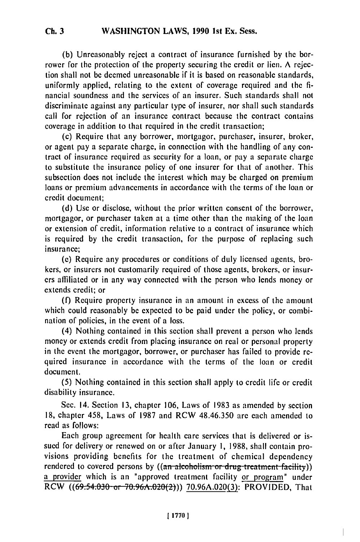**(b)** Unreasonably **reject** a contract of insurance furnished by the borrower for the protection of the property securing the credit or lien. **A** rejection shall not be deemed unreasonable if it is based on reasonable standards, uniformly applied, relating to the extent of coverage required and the **fi**nancial soundness and the services of an insurer. Such standards shall not discriminate against any particular type of insurer, nor shall such standards call for rejection of an insurance contract because the contract contains coverage in addition to that required in the credit transaction;

(c) Require that any borrower, mortgagor, purchaser, insurer, broker, or agent pay a separate charge, in connection with the handling of any contract of insurance required as security for a loan, or pay a separate charge to substitute the insurance policy of one insurer for that of another. This subsection does not include the interest which may be charged on premium loans or premium advancements in accordance with the terms of the loan or credit document;

(d) Use or disclose, without the prior written consent of the borrower, mortgagor, or purchaser taken at a time other than the making of the loan or extension of credit, information relative to a contract of insurance which is required by the credit transaction, for the purpose of replacing such insurance;

(e) Require any procedures or conditions of duly licensed agents, brokers, or insurers not customarily required of those agents, brokers, or insurers affiliated or in any way connected with the person who lends money or extends credit; or

(f) Require property insurance in an amount in excess of the amount which could reasonably be expected to be paid under the policy, or combination of policies, in the event of a loss.

(4) Nothing contained in this section shall prevent a person who lends money or extends credit from placing insurance on real or personal property in the event the mortgagor, borrower, or purchaser has failed to provide required insurance in accordance with the terms of the loan or credit document.

(5) Nothing contained in this section shall apply to credit life or credit disability insurance.

Sec. 14. Section **13,** chapter 106, Laws of 1983 as amended **by** section 18, chapter 458, Laws of 1987 and RCW 48.46.350 are each amended to read as follows:

Each group agreement for health care services that is delivered or issued for delivery or renewed on or after January **1,** 1988, shall contain provisions providing benefits for the treatment of chemical dependency rendered to covered persons by  $((a_n + b_n)$  alcoholism or drug treatment facility)) a provider which is an "approved treatment facility or program" under RCW ((69:54.030 or 70.96A.020(2))) 70.96A.020(3): PROVIDED, That